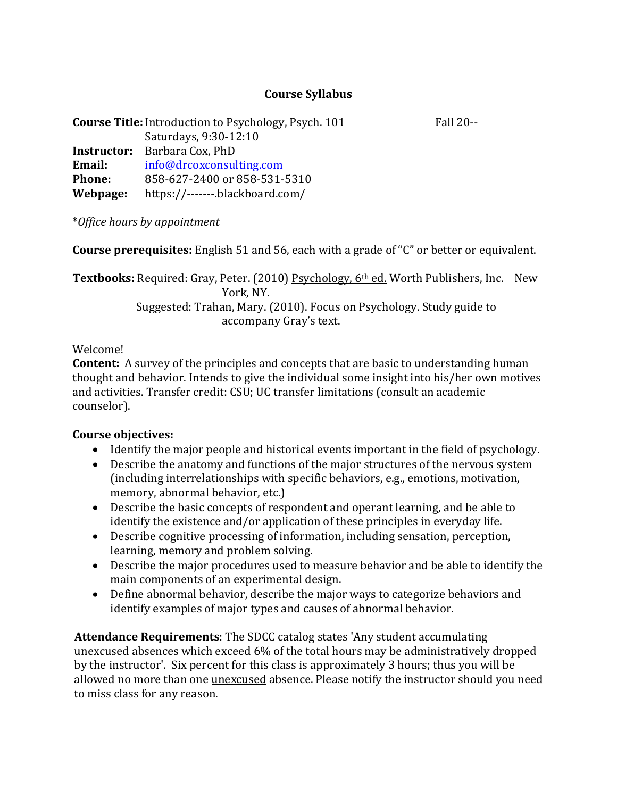# **Course Syllabus**

| <b>Course Title:</b> Introduction to Psychology, Psych. 101 |                                     |  |
|-------------------------------------------------------------|-------------------------------------|--|
|                                                             | Saturdays, 9:30-12:10               |  |
|                                                             | <b>Instructor:</b> Barbara Cox, PhD |  |
| Email:                                                      | info@drcoxconsulting.com            |  |
| <b>Phone:</b>                                               | 858-627-2400 or 858-531-5310        |  |
| Webpage:                                                    | https://-------.blackboard.com/     |  |

\**Office hours by appointment*

**Course prerequisites:** English 51 and 56, each with a grade of "C" or better or equivalent.

**Textbooks:** Required: Gray, Peter. (2010) Psychology, 6<sup>th</sup> ed. Worth Publishers, Inc. New York, NY. Suggested: Trahan, Mary. (2010). Focus on Psychology. Study guide to accompany Gray's text.

### Welcome!

**Content:** A survey of the principles and concepts that are basic to understanding human thought and behavior. Intends to give the individual some insight into his/her own motives and activities. Transfer credit: CSU; UC transfer limitations (consult an academic counselor).

## **Course objectives:**

- Identify the major people and historical events important in the field of psychology.
- Describe the anatomy and functions of the major structures of the nervous system (including interrelationships with specific behaviors, e.g., emotions, motivation, memory, abnormal behavior, etc.)
- Describe the basic concepts of respondent and operant learning, and be able to identify the existence and/or application of these principles in everyday life.
- Describe cognitive processing of information, including sensation, perception, learning, memory and problem solving.
- Describe the major procedures used to measure behavior and be able to identify the main components of an experimental design.
- Define abnormal behavior, describe the major ways to categorize behaviors and identify examples of major types and causes of abnormal behavior.

**Attendance Requirements**: The SDCC catalog states 'Any student accumulating unexcused absences which exceed 6% of the total hours may be administratively dropped by the instructor'. Six percent for this class is approximately 3 hours; thus you will be allowed no more than one *unexcused* absence. Please notify the instructor should you need to miss class for any reason.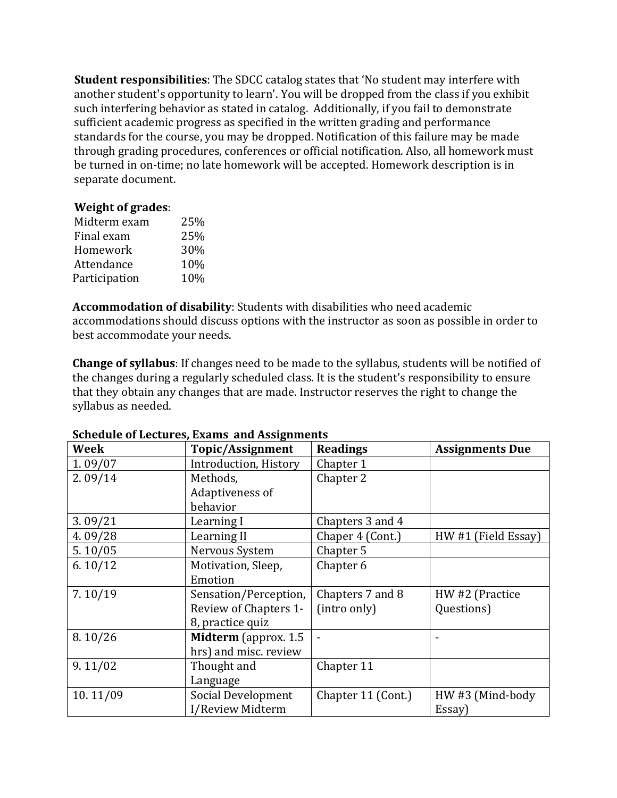**Student responsibilities**: The SDCC catalog states that 'No student may interfere with another student's opportunity to learn'. You will be dropped from the class if you exhibit such interfering behavior as stated in catalog. Additionally, if you fail to demonstrate sufficient academic progress as specified in the written grading and performance standards for the course, you may be dropped. Notification of this failure may be made through grading procedures, conferences or official notification. Also, all homework must be turned in on-time; no late homework will be accepted. Homework description is in separate document.

### **Weight of grades**:

| Midterm exam  | 25% |
|---------------|-----|
| Final exam    | 25% |
| Homework      | 30% |
| Attendance    | 10% |
| Participation | 10% |
|               |     |

**Accommodation of disability**: Students with disabilities who need academic accommodations should discuss options with the instructor as soon as possible in order to best accommodate your needs.

**Change of syllabus**: If changes need to be made to the syllabus, students will be notified of the changes during a regularly scheduled class. It is the student's responsibility to ensure that they obtain any changes that are made. Instructor reserves the right to change the syllabus as needed.

| <b>Week</b> | Topic/Assignment      | <b>Readings</b>    | <b>Assignments Due</b> |
|-------------|-----------------------|--------------------|------------------------|
| 1.09/07     | Introduction, History | Chapter 1          |                        |
| 2.09/14     | Methods,              | Chapter 2          |                        |
|             | Adaptiveness of       |                    |                        |
|             | behavior              |                    |                        |
| 3.09/21     | Learning I            | Chapters 3 and 4   |                        |
| 4.09/28     | Learning II           | Chaper 4 (Cont.)   | HW #1 (Field Essay)    |
| 5.10/05     | Nervous System        | Chapter 5          |                        |
| 6.10/12     | Motivation, Sleep,    | Chapter 6          |                        |
|             | Emotion               |                    |                        |
| 7.10/19     | Sensation/Perception, | Chapters 7 and 8   | HW #2 (Practice        |
|             | Review of Chapters 1- | (intro only)       | Questions)             |
|             | 8, practice quiz      |                    |                        |
| 8.10/26     | Midterm (approx. 1.5  |                    |                        |
|             | hrs) and misc. review |                    |                        |
| 9.11/02     | Thought and           | Chapter 11         |                        |
|             | Language              |                    |                        |
| 10.11/09    | Social Development    | Chapter 11 (Cont.) | HW#3 (Mind-body        |
|             | I/Review Midterm      |                    | Essay)                 |

#### **Schedule of Lectures, Exams and Assignments**